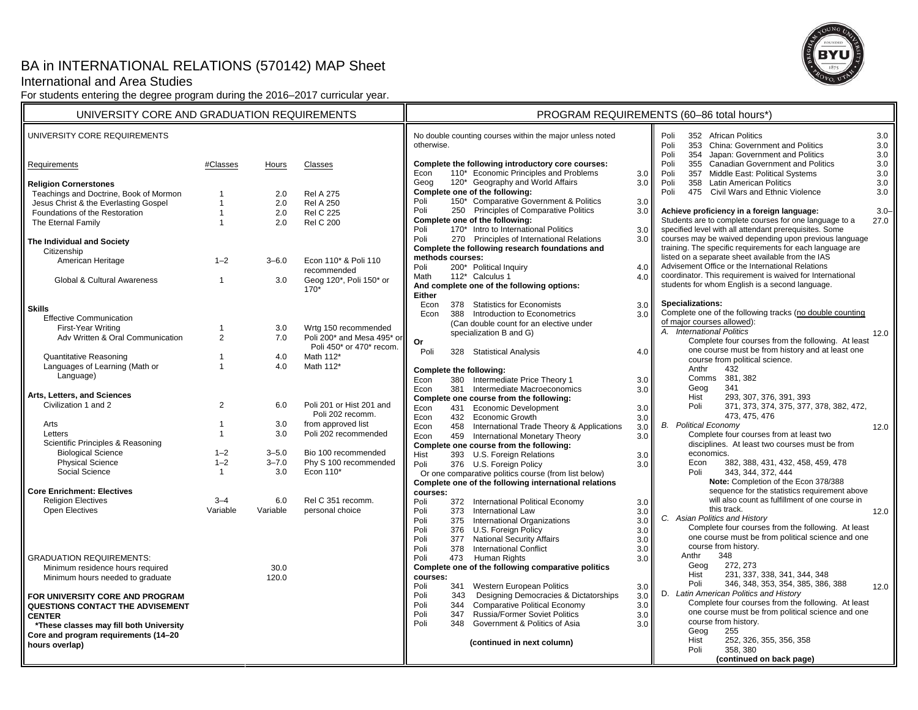# BA in INTERNATIONAL RELATIONS (570142) MAP Sheet

## International and Area Studies

For students entering the degree program during the 2016–2017 curricular year.



| UNIVERSITY CORE AND GRADUATION REQUIREMENTS                    |                    |                        |                                    | PROGRAM REQUIREMENTS (60-86 total hours*)                              |                               |                                                                                            |                                                                                                                                               |                                                                                         |  |
|----------------------------------------------------------------|--------------------|------------------------|------------------------------------|------------------------------------------------------------------------|-------------------------------|--------------------------------------------------------------------------------------------|-----------------------------------------------------------------------------------------------------------------------------------------------|-----------------------------------------------------------------------------------------|--|
| UNIVERSITY CORE REQUIREMENTS                                   |                    |                        |                                    | No double counting courses within the major unless noted<br>otherwise. |                               |                                                                                            | Poli<br>352 African Politics<br>3.0<br>Poli<br>353 China: Government and Politics<br>3.0<br>Poli<br>354 Japan: Government and Politics<br>3.0 |                                                                                         |  |
| Requirements                                                   | #Classes           | Hours                  | Classes                            | Econ                                                                   |                               | Complete the following introductory core courses:<br>110* Economic Principles and Problems |                                                                                                                                               | 3.0<br>Poli<br>355 Canadian Government and Politics<br>Poli                             |  |
| <b>Religion Cornerstones</b>                                   |                    |                        |                                    | Geog                                                                   |                               | 120* Geography and World Affairs                                                           | 3.0<br>3.0                                                                                                                                    | 357 Middle East: Political Systems<br>3.0<br>358 Latin American Politics<br>3.0<br>Poli |  |
| Teachings and Doctrine, Book of Mormon                         |                    | 2.0                    | <b>Rel A 275</b>                   |                                                                        |                               | Complete one of the following:                                                             |                                                                                                                                               | Poli<br>475 Civil Wars and Ethnic Violence<br>3.0                                       |  |
| Jesus Christ & the Everlasting Gospel                          | $\overline{1}$     | 2.0                    | <b>Rel A 250</b>                   | Poli                                                                   |                               | 150* Comparative Government & Politics                                                     | 3.0                                                                                                                                           |                                                                                         |  |
| Foundations of the Restoration                                 | $\overline{1}$     | 2.0                    | <b>Rel C 225</b>                   | Poli                                                                   |                               | 250 Principles of Comparative Politics                                                     | 3.0                                                                                                                                           | Achieve proficiency in a foreign language:<br>$3.0 -$                                   |  |
| The Eternal Family                                             | $\overline{1}$     | 2.0                    | <b>Rel C 200</b>                   |                                                                        |                               | Complete one of the following:                                                             |                                                                                                                                               | Students are to complete courses for one language to a<br>27.0                          |  |
|                                                                |                    |                        |                                    | Poli                                                                   |                               | 170* Intro to International Politics                                                       | 3.0                                                                                                                                           | specified level with all attendant prerequisites. Some                                  |  |
| The Individual and Society                                     |                    |                        |                                    | Poli                                                                   |                               | 270 Principles of International Relations                                                  | 3.0                                                                                                                                           | courses may be waived depending upon previous language                                  |  |
| Citizenship                                                    |                    |                        |                                    | Complete the following research foundations and                        |                               |                                                                                            | training. The specific requirements for each language are                                                                                     |                                                                                         |  |
| American Heritage                                              | $1 - 2$            | $3 - 6.0$              | Econ 110* & Poli 110               | methods courses:                                                       |                               |                                                                                            |                                                                                                                                               | listed on a separate sheet available from the IAS                                       |  |
|                                                                |                    |                        | recommended                        | Poli                                                                   |                               | 200* Political Inquiry                                                                     | 4.0                                                                                                                                           | Advisement Office or the International Relations                                        |  |
| Global & Cultural Awareness                                    | $\mathbf{1}$       | 3.0                    | Geog 120*, Poli 150* or            | Math                                                                   |                               | 112* Calculus 1                                                                            | 4.0                                                                                                                                           | coordinator. This requirement is waived for International                               |  |
|                                                                |                    |                        | $170*$                             | <b>Either</b>                                                          |                               | And complete one of the following options:                                                 |                                                                                                                                               | students for whom English is a second language.                                         |  |
|                                                                |                    |                        |                                    | Econ                                                                   |                               | 378 Statistics for Economists                                                              | 3.0                                                                                                                                           | Specializations:                                                                        |  |
| <b>Skills</b>                                                  |                    |                        |                                    | Econ                                                                   |                               | 388 Introduction to Econometrics                                                           | 3.0                                                                                                                                           | Complete one of the following tracks (no double counting                                |  |
| <b>Effective Communication</b>                                 |                    |                        |                                    |                                                                        |                               | (Can double count for an elective under                                                    |                                                                                                                                               | of major courses allowed):                                                              |  |
| First-Year Writing                                             | 1                  | 3.0                    | Wrtg 150 recommended               |                                                                        |                               | specialization B and G)                                                                    |                                                                                                                                               | A. International Politics<br>12.0                                                       |  |
| Adv Written & Oral Communication                               | $\overline{2}$     | 7.0                    | Poli 200* and Mesa 495* or         | Or                                                                     |                               |                                                                                            |                                                                                                                                               | Complete four courses from the following. At least                                      |  |
|                                                                |                    |                        | Poli 450* or 470* recom.           | Poli                                                                   |                               | 328 Statistical Analysis                                                                   | 4.0                                                                                                                                           | one course must be from history and at least one                                        |  |
| <b>Quantitative Reasoning</b>                                  | $\mathbf{1}$       | 4.0                    | Math 112*                          |                                                                        |                               |                                                                                            |                                                                                                                                               | course from political science.                                                          |  |
| Languages of Learning (Math or                                 | $\overline{1}$     | 4.0                    | Math 112*                          |                                                                        |                               | Complete the following:                                                                    |                                                                                                                                               | 432<br>Anthr                                                                            |  |
| Language)                                                      |                    |                        |                                    | Econ                                                                   |                               | 380 Intermediate Price Theory 1                                                            | 3.0                                                                                                                                           | Comms 381, 382                                                                          |  |
|                                                                |                    |                        |                                    | Econ                                                                   |                               | 381 Intermediate Macroeconomics                                                            | 3.0                                                                                                                                           | 341<br>Geog                                                                             |  |
| Arts, Letters, and Sciences                                    |                    |                        |                                    |                                                                        |                               | Complete one course from the following:                                                    |                                                                                                                                               | Hist<br>293, 307, 376, 391, 393                                                         |  |
| Civilization 1 and 2                                           | $\overline{2}$     | 6.0                    | Poli 201 or Hist 201 and           | Econ                                                                   |                               | 431 Economic Development                                                                   | 3.0                                                                                                                                           | Poli<br>371, 373, 374, 375, 377, 378, 382, 472,                                         |  |
|                                                                |                    |                        | Poli 202 recomm.                   | Econ                                                                   |                               | 432 Economic Growth                                                                        | 3.0                                                                                                                                           | 473, 475, 476                                                                           |  |
| Arts                                                           | $\mathbf{1}$       | 3.0                    | from approved list                 | Econ                                                                   | 458                           | International Trade Theory & Applications                                                  | 3.0                                                                                                                                           | <b>B.</b> Political Economy<br>12.0                                                     |  |
| Letters                                                        | $\mathbf{1}$       | 3.0                    | Poli 202 recommended               | Econ                                                                   |                               | 459 International Monetary Theory                                                          | 3.0                                                                                                                                           | Complete four courses from at least two                                                 |  |
| Scientific Principles & Reasoning<br><b>Biological Science</b> |                    |                        |                                    |                                                                        |                               | Complete one course from the following:                                                    |                                                                                                                                               | disciplines. At least two courses must be from                                          |  |
| <b>Physical Science</b>                                        | $1 - 2$<br>$1 - 2$ | $3 - 5.0$<br>$3 - 7.0$ | Bio 100 recommended                | Hist                                                                   |                               | 393 U.S. Foreign Relations                                                                 | 3.0                                                                                                                                           | economics.                                                                              |  |
| Social Science                                                 | $\mathbf{1}$       | 3.0                    | Phy S 100 recommended<br>Econ 110* | Poli                                                                   |                               | 376 U.S. Foreign Policy                                                                    | 3.0                                                                                                                                           | 382, 388, 431, 432, 458, 459, 478<br>Econ<br>Poli<br>343. 344. 372. 444                 |  |
|                                                                |                    |                        |                                    |                                                                        |                               | Or one comparative politics course (from list below)                                       |                                                                                                                                               | Note: Completion of the Econ 378/388                                                    |  |
| <b>Core Enrichment: Electives</b>                              |                    |                        |                                    |                                                                        |                               | Complete one of the following international relations                                      |                                                                                                                                               | sequence for the statistics requirement above                                           |  |
| <b>Religion Electives</b>                                      | $3 - 4$            | 6.0                    | Rel C 351 recomm.                  | courses:<br>Poli                                                       |                               | 372 International Political Economy                                                        |                                                                                                                                               | will also count as fulfillment of one course in                                         |  |
| <b>Open Electives</b>                                          | Variable           | Variable               | personal choice                    | Poli                                                                   | 373                           | International Law                                                                          | 3.0<br>3.0                                                                                                                                    | this track.<br>12.0                                                                     |  |
|                                                                |                    |                        |                                    | Poli                                                                   |                               | 375 International Organizations                                                            | 3.0                                                                                                                                           | C. Asian Politics and History                                                           |  |
|                                                                |                    |                        |                                    | Poli                                                                   |                               | 376 U.S. Foreign Policy                                                                    | 3.0                                                                                                                                           | Complete four courses from the following. At least                                      |  |
|                                                                |                    |                        |                                    | Poli                                                                   | 377                           | <b>National Security Affairs</b>                                                           | 3.0                                                                                                                                           | one course must be from political science and one                                       |  |
|                                                                |                    |                        |                                    | Poli                                                                   | 378                           | <b>International Conflict</b>                                                              | 3.0                                                                                                                                           | course from history.                                                                    |  |
| <b>GRADUATION REQUIREMENTS:</b>                                |                    |                        |                                    | Poli                                                                   | 473                           | <b>Human Rights</b>                                                                        | 3.0                                                                                                                                           | 348<br>Anthr                                                                            |  |
| Minimum residence hours required                               |                    | 30.0                   |                                    |                                                                        |                               | Complete one of the following comparative politics                                         |                                                                                                                                               | Geog<br>272, 273                                                                        |  |
| Minimum hours needed to graduate                               |                    | 120.0                  |                                    | courses:                                                               |                               |                                                                                            |                                                                                                                                               | Hist<br>231, 337, 338, 341, 344, 348                                                    |  |
|                                                                |                    |                        |                                    | Poli                                                                   | 341                           | Western European Politics                                                                  | 3.0                                                                                                                                           | 346, 348, 353, 354, 385, 386, 388<br>Poli<br>12.0                                       |  |
| FOR UNIVERSITY CORE AND PROGRAM                                |                    |                        |                                    | Poli                                                                   | 343                           | Designing Democracies & Dictatorships                                                      | 3.0                                                                                                                                           | D. Latin American Politics and History                                                  |  |
| QUESTIONS CONTACT THE ADVISEMENT                               |                    |                        |                                    | Poli                                                                   | 344                           | <b>Comparative Political Economy</b>                                                       | 3.0                                                                                                                                           | Complete four courses from the following. At least                                      |  |
| <b>CENTER</b>                                                  |                    |                        | Poli                               | 347                                                                    | Russia/Former Soviet Politics | 3.0                                                                                        | one course must be from political science and one                                                                                             |                                                                                         |  |
| *These classes may fill both University                        |                    |                        |                                    | Poli                                                                   | 348                           | Government & Politics of Asia                                                              | 3.0                                                                                                                                           | course from history.                                                                    |  |
| Core and program requirements (14-20                           |                    |                        |                                    |                                                                        |                               |                                                                                            |                                                                                                                                               | 255<br>Geog                                                                             |  |
| hours overlap)                                                 |                    |                        |                                    |                                                                        |                               | (continued in next column)                                                                 |                                                                                                                                               | Hist<br>252, 326, 355, 356, 358<br>358, 380                                             |  |
|                                                                |                    |                        |                                    |                                                                        |                               |                                                                                            |                                                                                                                                               | Poli<br>(continued on back page)                                                        |  |
|                                                                |                    |                        |                                    |                                                                        |                               |                                                                                            |                                                                                                                                               |                                                                                         |  |